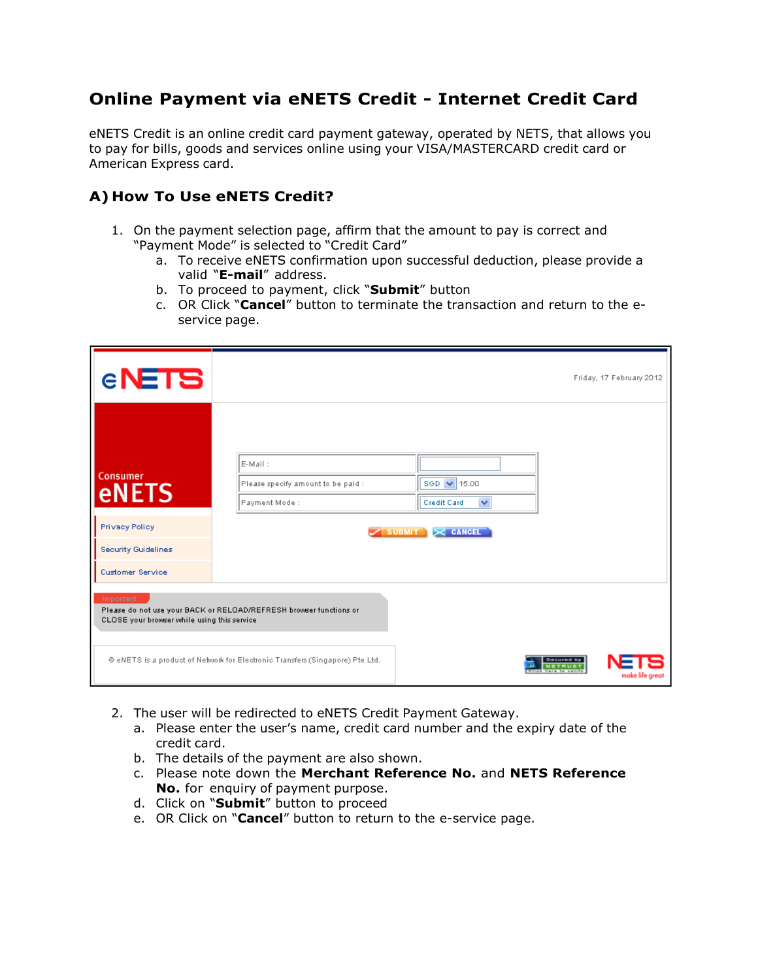## Online Payment via eNETS Credit - Internet Credit Card

eNETS Credit is an online credit card payment gateway, operated by NETS, that allows you to pay for bills, goods and services online using your VISA/MASTERCARD credit card or American Express card.

## A) How To Use eNETS Credit?

- 1. On the payment selection page, affirm that the amount to pay is correct and "Payment Mode" is selected to "Credit Card"
	- a. To receive eNETS confirmation upon successful deduction, please provide a valid "E-mail" address.
	- b. To proceed to payment, click "Submit" button
	- c. OR Click "Cancel" button to terminate the transaction and return to the eservice page.

| <b>ENETS</b>                                                                                                                              |                                         |                             | Friday, 17 February 2012 |  |
|-------------------------------------------------------------------------------------------------------------------------------------------|-----------------------------------------|-----------------------------|--------------------------|--|
|                                                                                                                                           |                                         |                             |                          |  |
| Consumer                                                                                                                                  | E-Mail:                                 |                             |                          |  |
| <b>eNETS</b>                                                                                                                              | Please specify amount to be paid :      | SGD $\sqrt{15.00}$          |                          |  |
|                                                                                                                                           | Payment Mode:                           | Credit Card<br>$\checkmark$ |                          |  |
| Privacy Policy                                                                                                                            | $\checkmark$ SUBMIT $\checkmark$ CANCEL |                             |                          |  |
| Security Guidelines                                                                                                                       |                                         |                             |                          |  |
| <b>Customer Service</b>                                                                                                                   |                                         |                             |                          |  |
| Important:<br>Please do not use your BACK or RELOAD/REFRESH browser functions or<br>CLOSE your browser while using this service           |                                         |                             |                          |  |
| @eNETS is a product of Network for Electronic Transfers (Singapore) Pte Ltd.<br>Secured by<br>NETRUST<br>have to warry<br>make life great |                                         |                             |                          |  |

- 2. The user will be redirected to eNETS Credit Payment Gateway.
	- a. Please enter the user's name, credit card number and the expiry date of the credit card.
	- b. The details of the payment are also shown.
	- c. Please note down the Merchant Reference No. and NETS Reference No. for enquiry of payment purpose.
	- d. Click on "Submit" button to proceed
	- e. OR Click on "Cancel" button to return to the e-service page.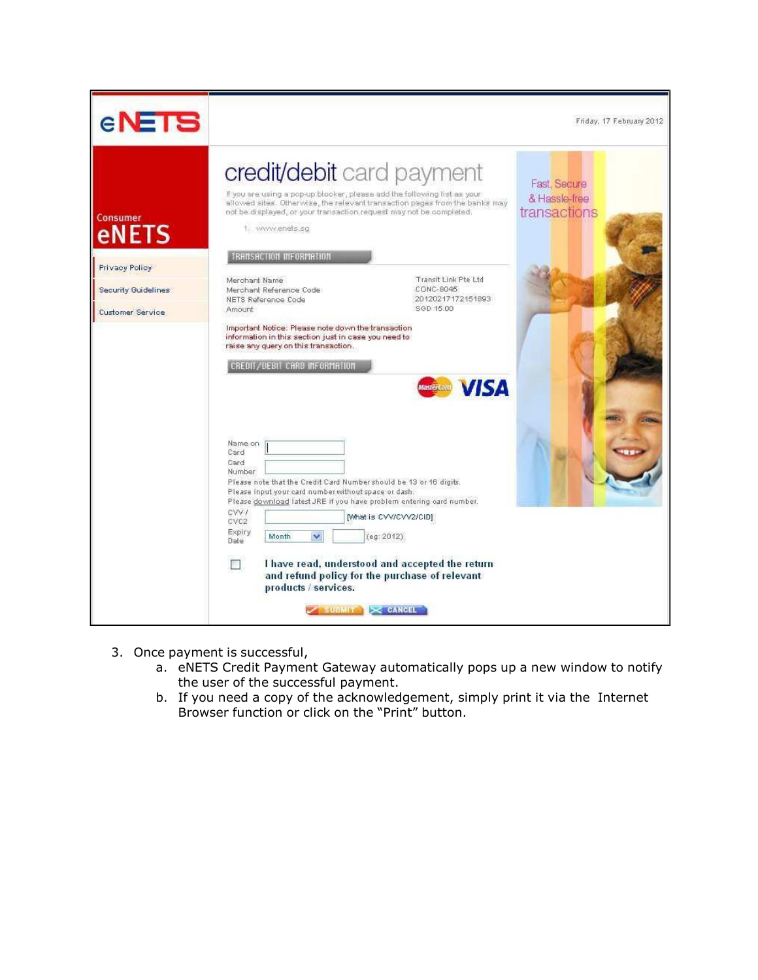| <b>ENETS</b>                                                                          |                                                                                                                                                                                                                                                                                                                                                                                                                                                                                                                                                                                                                                                                                                                                                                                                                                                                                                                                                                                                                                                                                                                                                                               | Friday, 17 February 2012                      |
|---------------------------------------------------------------------------------------|-------------------------------------------------------------------------------------------------------------------------------------------------------------------------------------------------------------------------------------------------------------------------------------------------------------------------------------------------------------------------------------------------------------------------------------------------------------------------------------------------------------------------------------------------------------------------------------------------------------------------------------------------------------------------------------------------------------------------------------------------------------------------------------------------------------------------------------------------------------------------------------------------------------------------------------------------------------------------------------------------------------------------------------------------------------------------------------------------------------------------------------------------------------------------------|-----------------------------------------------|
| Consumer<br><b>eNETS</b><br>Privacy Policy<br>Security Guidelines<br>Customer Service | credit/debit card payment<br>If you are using a pop-up blocker, please add the following list as your<br>allowed sites. Otherwise, the relevant transaction pages from the banks may<br>not be displayed, or your transaction request may not be completed.<br>1. www.enets.sg<br><b>TRANSACTION INFORMATION</b><br>Transit Link Pte Ltd<br>Merchant Name<br>CONC-8045<br>Merchant Reference Code<br>20120217172151893<br>NETS Reference Code<br>SGD 15.00<br>Amount<br>Important Notice: Please note down the transaction<br>information in this section just in case you need to<br>raise any query on this transaction.<br>CREDIT/DEBIT CARD INFORMATION<br><b>VISA</b><br><b>MasterCard</b><br>Name on<br>Card<br>Card<br>Number<br>Please note that the Credit Card Number should be 13 or 16 digits.<br>Please input your card number without space or dash.<br>Please download latest JRE if you have problem entering card number.<br>CVVI.<br>[What is CVV/CVV2/CID]<br>CVC <sub>2</sub><br>Expiry<br>Ÿ<br>Month<br>(eg: 2012)<br>Date.<br>I have read, understood and accepted the return<br>and refund policy for the purchase of relevant<br>products / services. | Fast, Secure<br>& Hassle-free<br>transactions |
|                                                                                       | SUBMIT X CANCEL                                                                                                                                                                                                                                                                                                                                                                                                                                                                                                                                                                                                                                                                                                                                                                                                                                                                                                                                                                                                                                                                                                                                                               |                                               |

- 3. Once payment is successful,
	- a. eNETS Credit Payment Gateway automatically pops up a new window to notify the user of the successful payment.
	- b. If you need a copy of the acknowledgement, simply print it via the Internet Browser function or click on the "Print" button.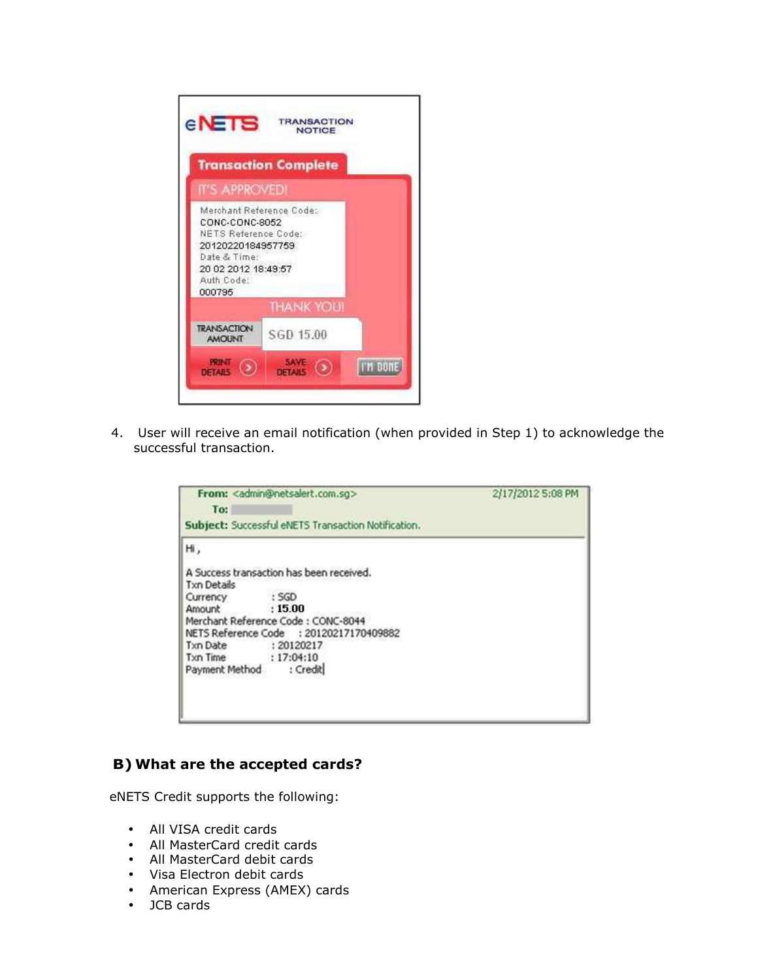

4. User will receive an email notification (when provided in Step 1) to acknowledge the successful transaction.

| To:                                                 | From: <admin@netsalert.com.sq></admin@netsalert.com.sq>                                                                                       | 2/17/2012 5:08 PM |  |
|-----------------------------------------------------|-----------------------------------------------------------------------------------------------------------------------------------------------|-------------------|--|
| Subject: Successful eNETS Transaction Notification. |                                                                                                                                               |                   |  |
| н,                                                  |                                                                                                                                               |                   |  |
| <b>Txn Details</b><br>Currency<br>Amount            | A Success transaction has been received.<br>: SGD<br>: 15.00<br>Merchant Reference Code: CONC-8044<br>NETS Reference Code : 20120217170409882 |                   |  |
| Txn Date<br>Txn Time : 17:04:10<br>Payment Method   | : 20120217<br>: Credit                                                                                                                        |                   |  |
|                                                     |                                                                                                                                               |                   |  |

## B) What are the accepted cards?

eNETS Credit supports the following:

- All VISA credit cards
- All MasterCard credit cards
- All MasterCard debit cards
- Visa Electron debit cards
- American Express (AMEX) cards
- JCB cards